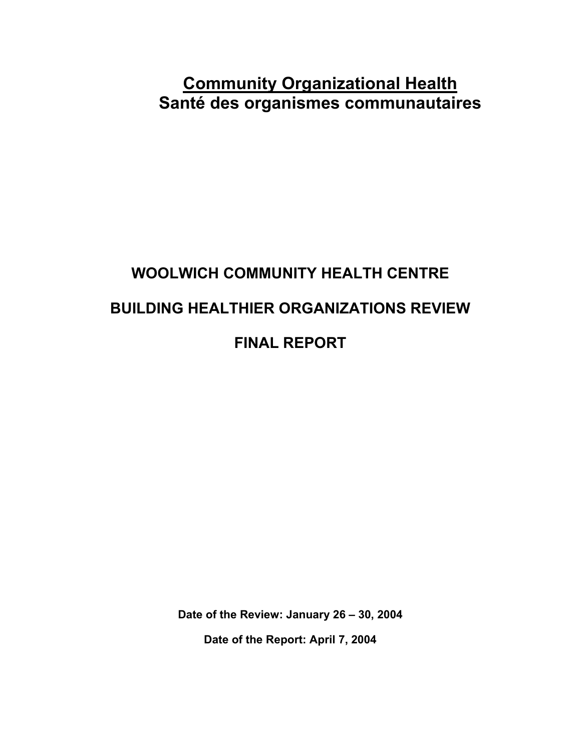## **Community Organizational Health Santé des organismes communautaires**

# **WOOLWICH COMMUNITY HEALTH CENTRE BUILDING HEALTHIER ORGANIZATIONS REVIEW FINAL REPORT**

**Date of the Review: January 26 – 30, 2004** 

**Date of the Report: April 7, 2004**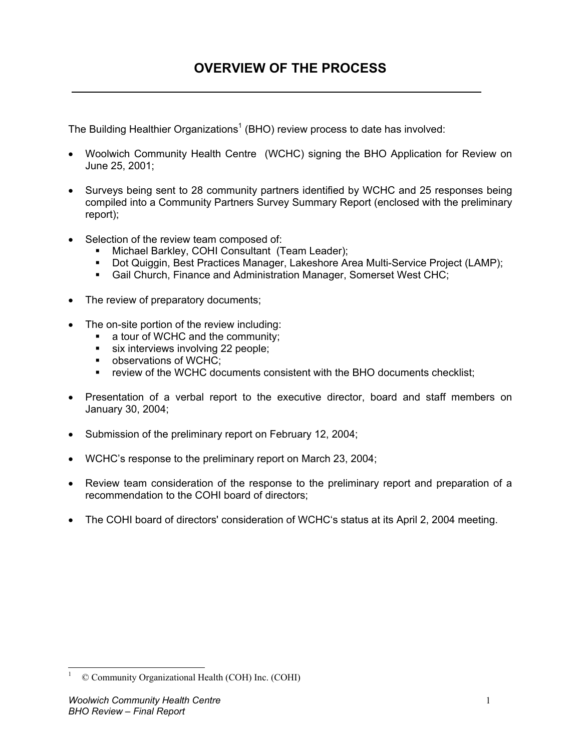The Building Healthier Organizations<sup>1</sup> (BHO) review process to date has involved:

- Woolwich Community Health Centre (WCHC) signing the BHO Application for Review on June 25, 2001;
- Surveys being sent to 28 community partners identified by WCHC and 25 responses being compiled into a Community Partners Survey Summary Report (enclosed with the preliminary report);
- Selection of the review team composed of:
	- **Michael Barkley, COHI Consultant (Team Leader);**
	- Dot Quiggin, Best Practices Manager, Lakeshore Area Multi-Service Project (LAMP);
	- Gail Church, Finance and Administration Manager, Somerset West CHC;
- The review of preparatory documents;
- The on-site portion of the review including:
	- a tour of WCHC and the community;
	- six interviews involving 22 people;
	- observations of WCHC;
	- review of the WCHC documents consistent with the BHO documents checklist;
- Presentation of a verbal report to the executive director, board and staff members on January 30, 2004;
- Submission of the preliminary report on February 12, 2004;
- WCHC's response to the preliminary report on March 23, 2004;
- Review team consideration of the response to the preliminary report and preparation of a recommendation to the COHI board of directors;
- The COHI board of directors' consideration of WCHC's status at its April 2, 2004 meeting.

 $\overline{a}$ 

<sup>1</sup> © Community Organizational Health (COH) Inc. (COHI)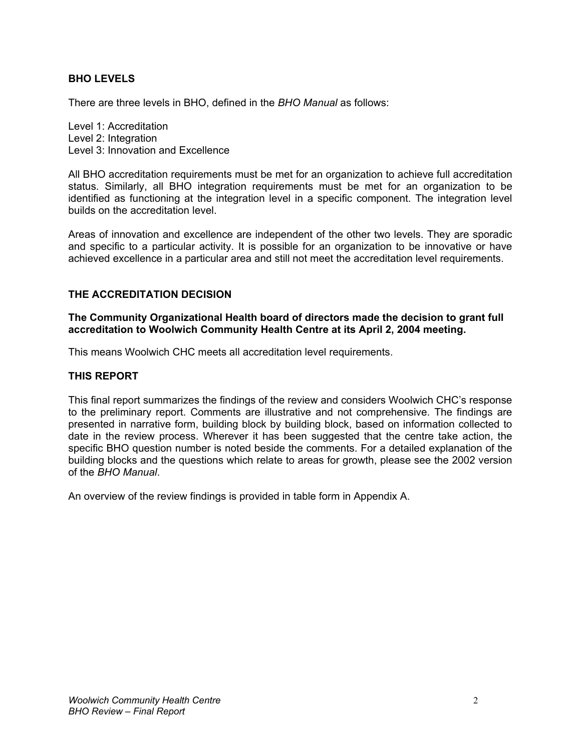#### **BHO LEVELS**

There are three levels in BHO, defined in the *BHO Manual* as follows:

Level 1: Accreditation Level 2: Integration Level 3: Innovation and Excellence

All BHO accreditation requirements must be met for an organization to achieve full accreditation status. Similarly, all BHO integration requirements must be met for an organization to be identified as functioning at the integration level in a specific component. The integration level builds on the accreditation level.

Areas of innovation and excellence are independent of the other two levels. They are sporadic and specific to a particular activity. It is possible for an organization to be innovative or have achieved excellence in a particular area and still not meet the accreditation level requirements.

#### **THE ACCREDITATION DECISION**

**The Community Organizational Health board of directors made the decision to grant full accreditation to Woolwich Community Health Centre at its April 2, 2004 meeting.** 

This means Woolwich CHC meets all accreditation level requirements.

#### **THIS REPORT**

This final report summarizes the findings of the review and considers Woolwich CHC's response to the preliminary report. Comments are illustrative and not comprehensive. The findings are presented in narrative form, building block by building block, based on information collected to date in the review process. Wherever it has been suggested that the centre take action, the specific BHO question number is noted beside the comments. For a detailed explanation of the building blocks and the questions which relate to areas for growth, please see the 2002 version of the *BHO Manual*.

An overview of the review findings is provided in table form in Appendix A.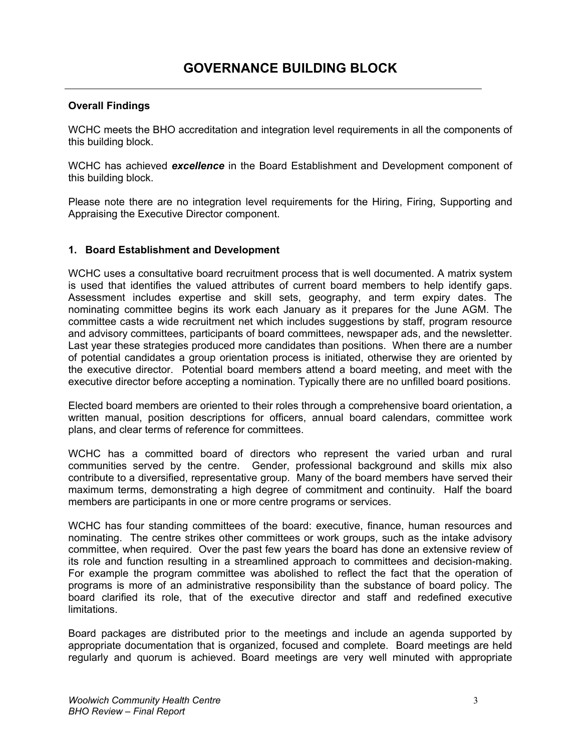WCHC meets the BHO accreditation and integration level requirements in all the components of this building block.

WCHC has achieved *excellence* in the Board Establishment and Development component of this building block.

Please note there are no integration level requirements for the Hiring, Firing, Supporting and Appraising the Executive Director component.

#### **1. Board Establishment and Development**

WCHC uses a consultative board recruitment process that is well documented. A matrix system is used that identifies the valued attributes of current board members to help identify gaps. Assessment includes expertise and skill sets, geography, and term expiry dates. The nominating committee begins its work each January as it prepares for the June AGM. The committee casts a wide recruitment net which includes suggestions by staff, program resource and advisory committees, participants of board committees, newspaper ads, and the newsletter. Last year these strategies produced more candidates than positions. When there are a number of potential candidates a group orientation process is initiated, otherwise they are oriented by the executive director. Potential board members attend a board meeting, and meet with the executive director before accepting a nomination. Typically there are no unfilled board positions.

Elected board members are oriented to their roles through a comprehensive board orientation, a written manual, position descriptions for officers, annual board calendars, committee work plans, and clear terms of reference for committees.

WCHC has a committed board of directors who represent the varied urban and rural communities served by the centre. Gender, professional background and skills mix also contribute to a diversified, representative group. Many of the board members have served their maximum terms, demonstrating a high degree of commitment and continuity. Half the board members are participants in one or more centre programs or services.

WCHC has four standing committees of the board: executive, finance, human resources and nominating. The centre strikes other committees or work groups, such as the intake advisory committee, when required. Over the past few years the board has done an extensive review of its role and function resulting in a streamlined approach to committees and decision-making. For example the program committee was abolished to reflect the fact that the operation of programs is more of an administrative responsibility than the substance of board policy. The board clarified its role, that of the executive director and staff and redefined executive limitations.

Board packages are distributed prior to the meetings and include an agenda supported by appropriate documentation that is organized, focused and complete. Board meetings are held regularly and quorum is achieved. Board meetings are very well minuted with appropriate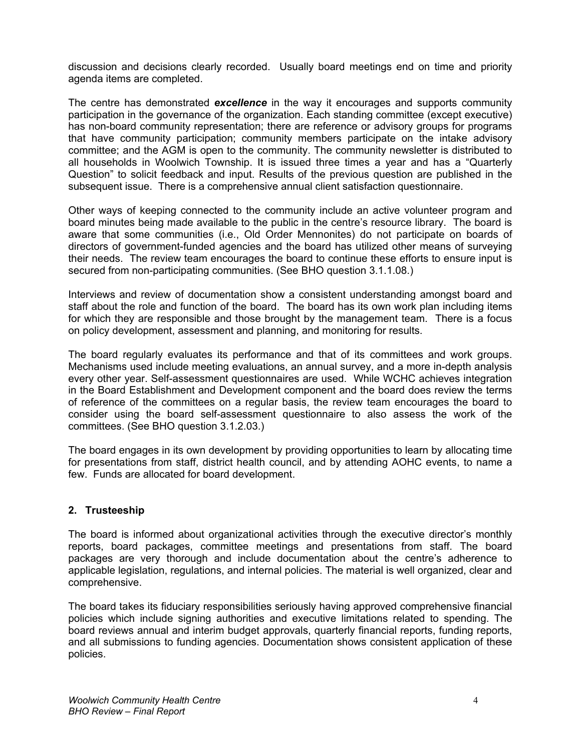discussion and decisions clearly recorded. Usually board meetings end on time and priority agenda items are completed.

The centre has demonstrated *excellence* in the way it encourages and supports community participation in the governance of the organization. Each standing committee (except executive) has non-board community representation; there are reference or advisory groups for programs that have community participation; community members participate on the intake advisory committee; and the AGM is open to the community. The community newsletter is distributed to all households in Woolwich Township. It is issued three times a year and has a "Quarterly Question" to solicit feedback and input. Results of the previous question are published in the subsequent issue. There is a comprehensive annual client satisfaction questionnaire.

Other ways of keeping connected to the community include an active volunteer program and board minutes being made available to the public in the centre's resource library. The board is aware that some communities (i.e., Old Order Mennonites) do not participate on boards of directors of government-funded agencies and the board has utilized other means of surveying their needs. The review team encourages the board to continue these efforts to ensure input is secured from non-participating communities. (See BHO question 3.1.1.08.)

Interviews and review of documentation show a consistent understanding amongst board and staff about the role and function of the board. The board has its own work plan including items for which they are responsible and those brought by the management team. There is a focus on policy development, assessment and planning, and monitoring for results.

The board regularly evaluates its performance and that of its committees and work groups. Mechanisms used include meeting evaluations, an annual survey, and a more in-depth analysis every other year. Self-assessment questionnaires are used. While WCHC achieves integration in the Board Establishment and Development component and the board does review the terms of reference of the committees on a regular basis, the review team encourages the board to consider using the board self-assessment questionnaire to also assess the work of the committees. (See BHO question 3.1.2.03.)

The board engages in its own development by providing opportunities to learn by allocating time for presentations from staff, district health council, and by attending AOHC events, to name a few. Funds are allocated for board development.

#### **2. Trusteeship**

The board is informed about organizational activities through the executive director's monthly reports, board packages, committee meetings and presentations from staff. The board packages are very thorough and include documentation about the centre's adherence to applicable legislation, regulations, and internal policies. The material is well organized, clear and comprehensive.

The board takes its fiduciary responsibilities seriously having approved comprehensive financial policies which include signing authorities and executive limitations related to spending. The board reviews annual and interim budget approvals, quarterly financial reports, funding reports, and all submissions to funding agencies. Documentation shows consistent application of these policies.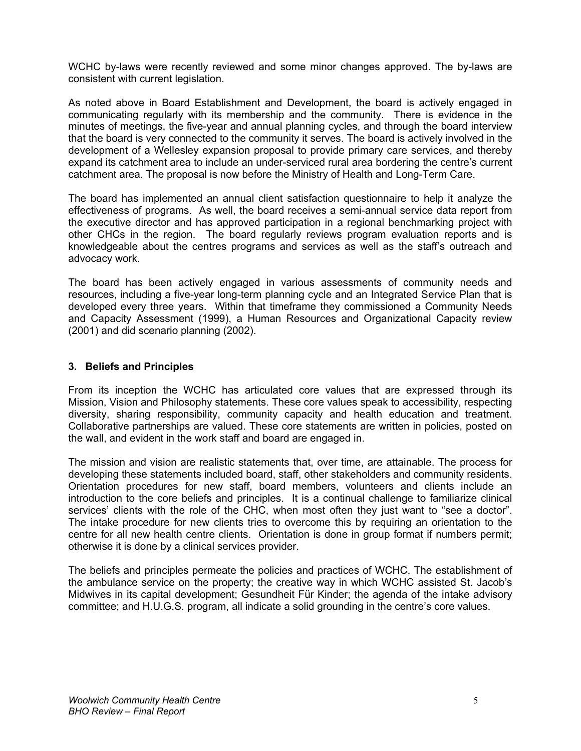WCHC by-laws were recently reviewed and some minor changes approved. The by-laws are consistent with current legislation.

As noted above in Board Establishment and Development, the board is actively engaged in communicating regularly with its membership and the community. There is evidence in the minutes of meetings, the five-year and annual planning cycles, and through the board interview that the board is very connected to the community it serves. The board is actively involved in the development of a Wellesley expansion proposal to provide primary care services, and thereby expand its catchment area to include an under-serviced rural area bordering the centre's current catchment area. The proposal is now before the Ministry of Health and Long-Term Care.

The board has implemented an annual client satisfaction questionnaire to help it analyze the effectiveness of programs. As well, the board receives a semi-annual service data report from the executive director and has approved participation in a regional benchmarking project with other CHCs in the region. The board regularly reviews program evaluation reports and is knowledgeable about the centres programs and services as well as the staff's outreach and advocacy work.

The board has been actively engaged in various assessments of community needs and resources, including a five-year long-term planning cycle and an Integrated Service Plan that is developed every three years. Within that timeframe they commissioned a Community Needs and Capacity Assessment (1999), a Human Resources and Organizational Capacity review (2001) and did scenario planning (2002).

#### **3. Beliefs and Principles**

From its inception the WCHC has articulated core values that are expressed through its Mission, Vision and Philosophy statements. These core values speak to accessibility, respecting diversity, sharing responsibility, community capacity and health education and treatment. Collaborative partnerships are valued. These core statements are written in policies, posted on the wall, and evident in the work staff and board are engaged in.

The mission and vision are realistic statements that, over time, are attainable. The process for developing these statements included board, staff, other stakeholders and community residents. Orientation procedures for new staff, board members, volunteers and clients include an introduction to the core beliefs and principles. It is a continual challenge to familiarize clinical services' clients with the role of the CHC, when most often they just want to "see a doctor". The intake procedure for new clients tries to overcome this by requiring an orientation to the centre for all new health centre clients. Orientation is done in group format if numbers permit; otherwise it is done by a clinical services provider.

The beliefs and principles permeate the policies and practices of WCHC. The establishment of the ambulance service on the property; the creative way in which WCHC assisted St. Jacob's Midwives in its capital development; Gesundheit Für Kinder; the agenda of the intake advisory committee; and H.U.G.S. program, all indicate a solid grounding in the centre's core values.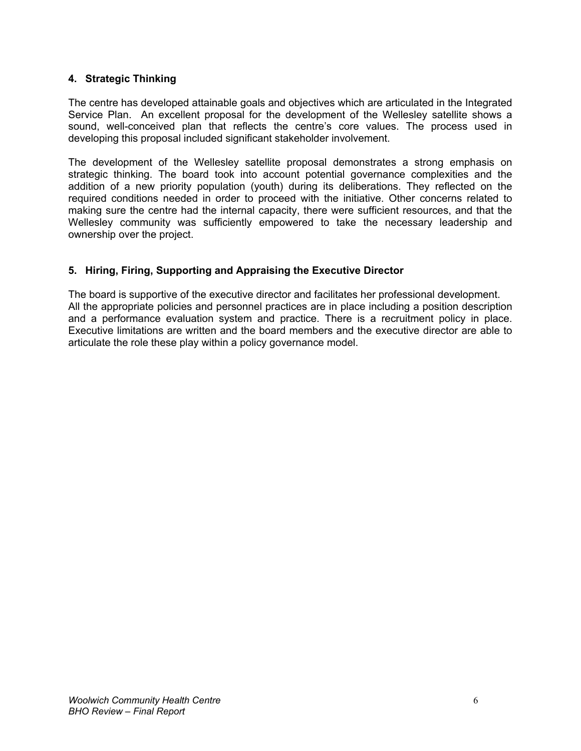#### **4. Strategic Thinking**

The centre has developed attainable goals and objectives which are articulated in the Integrated Service Plan. An excellent proposal for the development of the Wellesley satellite shows a sound, well-conceived plan that reflects the centre's core values. The process used in developing this proposal included significant stakeholder involvement.

The development of the Wellesley satellite proposal demonstrates a strong emphasis on strategic thinking. The board took into account potential governance complexities and the addition of a new priority population (youth) during its deliberations. They reflected on the required conditions needed in order to proceed with the initiative. Other concerns related to making sure the centre had the internal capacity, there were sufficient resources, and that the Wellesley community was sufficiently empowered to take the necessary leadership and ownership over the project.

#### **5. Hiring, Firing, Supporting and Appraising the Executive Director**

The board is supportive of the executive director and facilitates her professional development. All the appropriate policies and personnel practices are in place including a position description and a performance evaluation system and practice. There is a recruitment policy in place. Executive limitations are written and the board members and the executive director are able to articulate the role these play within a policy governance model.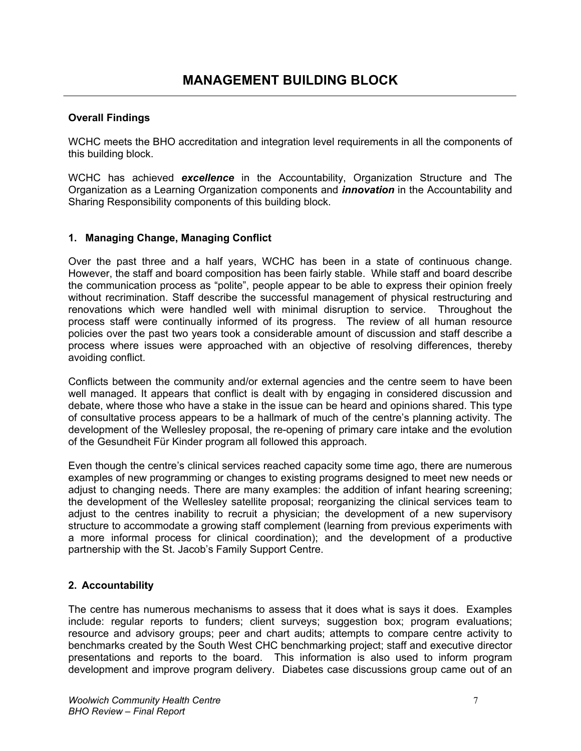WCHC meets the BHO accreditation and integration level requirements in all the components of this building block.

WCHC has achieved *excellence* in the Accountability, Organization Structure and The Organization as a Learning Organization components and *innovation* in the Accountability and Sharing Responsibility components of this building block.

#### **1. Managing Change, Managing Conflict**

Over the past three and a half years, WCHC has been in a state of continuous change. However, the staff and board composition has been fairly stable. While staff and board describe the communication process as "polite", people appear to be able to express their opinion freely without recrimination. Staff describe the successful management of physical restructuring and renovations which were handled well with minimal disruption to service. Throughout the process staff were continually informed of its progress. The review of all human resource policies over the past two years took a considerable amount of discussion and staff describe a process where issues were approached with an objective of resolving differences, thereby avoiding conflict.

Conflicts between the community and/or external agencies and the centre seem to have been well managed. It appears that conflict is dealt with by engaging in considered discussion and debate, where those who have a stake in the issue can be heard and opinions shared. This type of consultative process appears to be a hallmark of much of the centre's planning activity. The development of the Wellesley proposal, the re-opening of primary care intake and the evolution of the Gesundheit Für Kinder program all followed this approach.

Even though the centre's clinical services reached capacity some time ago, there are numerous examples of new programming or changes to existing programs designed to meet new needs or adjust to changing needs. There are many examples: the addition of infant hearing screening; the development of the Wellesley satellite proposal; reorganizing the clinical services team to adjust to the centres inability to recruit a physician; the development of a new supervisory structure to accommodate a growing staff complement (learning from previous experiments with a more informal process for clinical coordination); and the development of a productive partnership with the St. Jacob's Family Support Centre.

#### **2. Accountability**

The centre has numerous mechanisms to assess that it does what is says it does. Examples include: regular reports to funders; client surveys; suggestion box; program evaluations; resource and advisory groups; peer and chart audits; attempts to compare centre activity to benchmarks created by the South West CHC benchmarking project; staff and executive director presentations and reports to the board. This information is also used to inform program development and improve program delivery. Diabetes case discussions group came out of an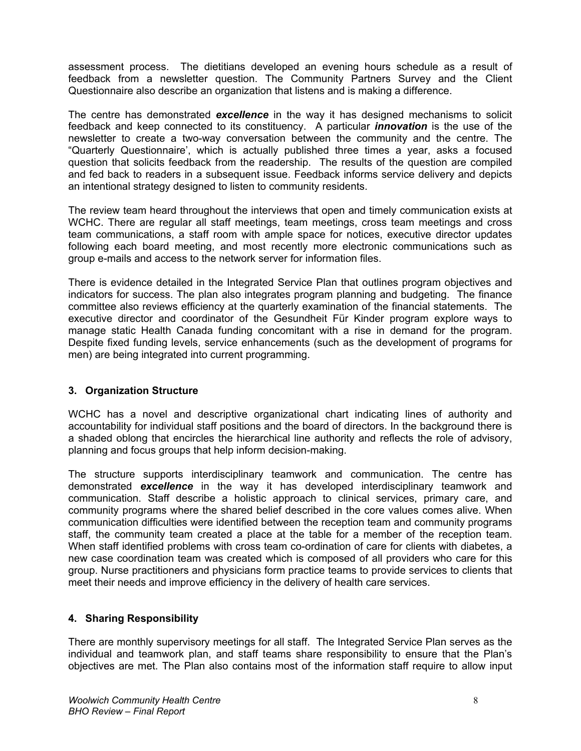assessment process. The dietitians developed an evening hours schedule as a result of feedback from a newsletter question. The Community Partners Survey and the Client Questionnaire also describe an organization that listens and is making a difference.

The centre has demonstrated *excellence* in the way it has designed mechanisms to solicit feedback and keep connected to its constituency. A particular *innovation* is the use of the newsletter to create a two-way conversation between the community and the centre. The "Quarterly Questionnaire', which is actually published three times a year, asks a focused question that solicits feedback from the readership. The results of the question are compiled and fed back to readers in a subsequent issue. Feedback informs service delivery and depicts an intentional strategy designed to listen to community residents.

The review team heard throughout the interviews that open and timely communication exists at WCHC. There are regular all staff meetings, team meetings, cross team meetings and cross team communications, a staff room with ample space for notices, executive director updates following each board meeting, and most recently more electronic communications such as group e-mails and access to the network server for information files.

There is evidence detailed in the Integrated Service Plan that outlines program objectives and indicators for success. The plan also integrates program planning and budgeting. The finance committee also reviews efficiency at the quarterly examination of the financial statements. The executive director and coordinator of the Gesundheit Für Kinder program explore ways to manage static Health Canada funding concomitant with a rise in demand for the program. Despite fixed funding levels, service enhancements (such as the development of programs for men) are being integrated into current programming.

#### **3. Organization Structure**

WCHC has a novel and descriptive organizational chart indicating lines of authority and accountability for individual staff positions and the board of directors. In the background there is a shaded oblong that encircles the hierarchical line authority and reflects the role of advisory, planning and focus groups that help inform decision-making.

The structure supports interdisciplinary teamwork and communication. The centre has demonstrated *excellence* in the way it has developed interdisciplinary teamwork and communication. Staff describe a holistic approach to clinical services, primary care, and community programs where the shared belief described in the core values comes alive. When communication difficulties were identified between the reception team and community programs staff, the community team created a place at the table for a member of the reception team. When staff identified problems with cross team co-ordination of care for clients with diabetes, a new case coordination team was created which is composed of all providers who care for this group. Nurse practitioners and physicians form practice teams to provide services to clients that meet their needs and improve efficiency in the delivery of health care services.

#### **4. Sharing Responsibility**

There are monthly supervisory meetings for all staff. The Integrated Service Plan serves as the individual and teamwork plan, and staff teams share responsibility to ensure that the Plan's objectives are met. The Plan also contains most of the information staff require to allow input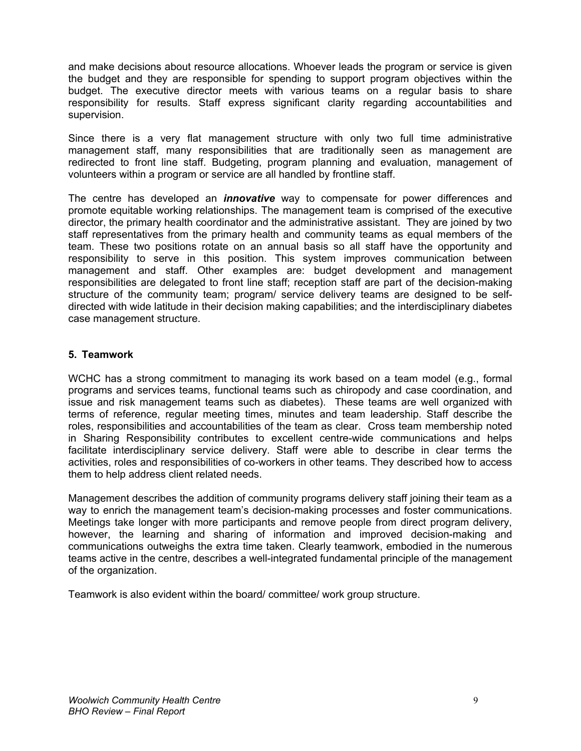and make decisions about resource allocations. Whoever leads the program or service is given the budget and they are responsible for spending to support program objectives within the budget. The executive director meets with various teams on a regular basis to share responsibility for results. Staff express significant clarity regarding accountabilities and supervision.

Since there is a very flat management structure with only two full time administrative management staff, many responsibilities that are traditionally seen as management are redirected to front line staff. Budgeting, program planning and evaluation, management of volunteers within a program or service are all handled by frontline staff.

The centre has developed an *innovative* way to compensate for power differences and promote equitable working relationships. The management team is comprised of the executive director, the primary health coordinator and the administrative assistant. They are joined by two staff representatives from the primary health and community teams as equal members of the team. These two positions rotate on an annual basis so all staff have the opportunity and responsibility to serve in this position. This system improves communication between management and staff. Other examples are: budget development and management responsibilities are delegated to front line staff; reception staff are part of the decision-making structure of the community team; program/ service delivery teams are designed to be selfdirected with wide latitude in their decision making capabilities; and the interdisciplinary diabetes case management structure.

#### **5. Teamwork**

WCHC has a strong commitment to managing its work based on a team model (e.g., formal programs and services teams, functional teams such as chiropody and case coordination, and issue and risk management teams such as diabetes). These teams are well organized with terms of reference, regular meeting times, minutes and team leadership. Staff describe the roles, responsibilities and accountabilities of the team as clear. Cross team membership noted in Sharing Responsibility contributes to excellent centre-wide communications and helps facilitate interdisciplinary service delivery. Staff were able to describe in clear terms the activities, roles and responsibilities of co-workers in other teams. They described how to access them to help address client related needs.

Management describes the addition of community programs delivery staff joining their team as a way to enrich the management team's decision-making processes and foster communications. Meetings take longer with more participants and remove people from direct program delivery, however, the learning and sharing of information and improved decision-making and communications outweighs the extra time taken. Clearly teamwork, embodied in the numerous teams active in the centre, describes a well-integrated fundamental principle of the management of the organization.

Teamwork is also evident within the board/ committee/ work group structure.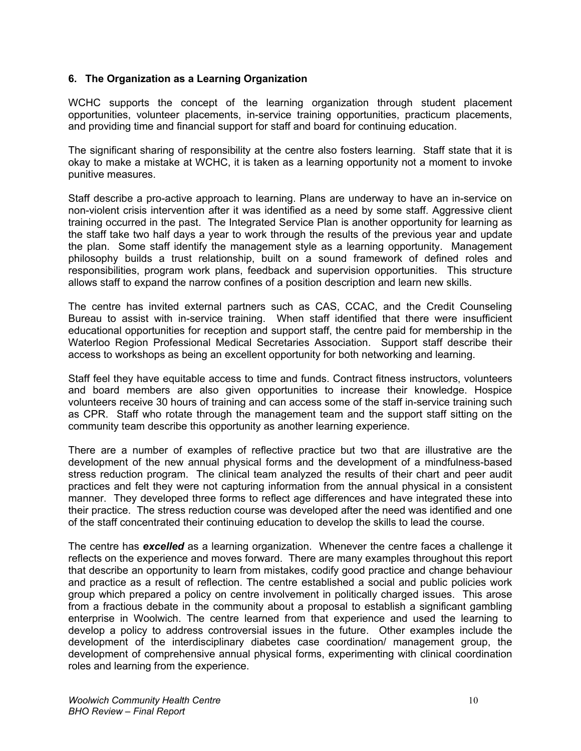#### **6. The Organization as a Learning Organization**

WCHC supports the concept of the learning organization through student placement opportunities, volunteer placements, in-service training opportunities, practicum placements, and providing time and financial support for staff and board for continuing education.

The significant sharing of responsibility at the centre also fosters learning. Staff state that it is okay to make a mistake at WCHC, it is taken as a learning opportunity not a moment to invoke punitive measures.

Staff describe a pro-active approach to learning. Plans are underway to have an in-service on non-violent crisis intervention after it was identified as a need by some staff. Aggressive client training occurred in the past. The Integrated Service Plan is another opportunity for learning as the staff take two half days a year to work through the results of the previous year and update the plan. Some staff identify the management style as a learning opportunity. Management philosophy builds a trust relationship, built on a sound framework of defined roles and responsibilities, program work plans, feedback and supervision opportunities. This structure allows staff to expand the narrow confines of a position description and learn new skills.

The centre has invited external partners such as CAS, CCAC, and the Credit Counseling Bureau to assist with in-service training. When staff identified that there were insufficient educational opportunities for reception and support staff, the centre paid for membership in the Waterloo Region Professional Medical Secretaries Association. Support staff describe their access to workshops as being an excellent opportunity for both networking and learning.

Staff feel they have equitable access to time and funds. Contract fitness instructors, volunteers and board members are also given opportunities to increase their knowledge. Hospice volunteers receive 30 hours of training and can access some of the staff in-service training such as CPR. Staff who rotate through the management team and the support staff sitting on the community team describe this opportunity as another learning experience.

There are a number of examples of reflective practice but two that are illustrative are the development of the new annual physical forms and the development of a mindfulness-based stress reduction program. The clinical team analyzed the results of their chart and peer audit practices and felt they were not capturing information from the annual physical in a consistent manner. They developed three forms to reflect age differences and have integrated these into their practice. The stress reduction course was developed after the need was identified and one of the staff concentrated their continuing education to develop the skills to lead the course.

The centre has *excelled* as a learning organization. Whenever the centre faces a challenge it reflects on the experience and moves forward. There are many examples throughout this report that describe an opportunity to learn from mistakes, codify good practice and change behaviour and practice as a result of reflection. The centre established a social and public policies work group which prepared a policy on centre involvement in politically charged issues. This arose from a fractious debate in the community about a proposal to establish a significant gambling enterprise in Woolwich. The centre learned from that experience and used the learning to develop a policy to address controversial issues in the future. Other examples include the development of the interdisciplinary diabetes case coordination/ management group, the development of comprehensive annual physical forms, experimenting with clinical coordination roles and learning from the experience.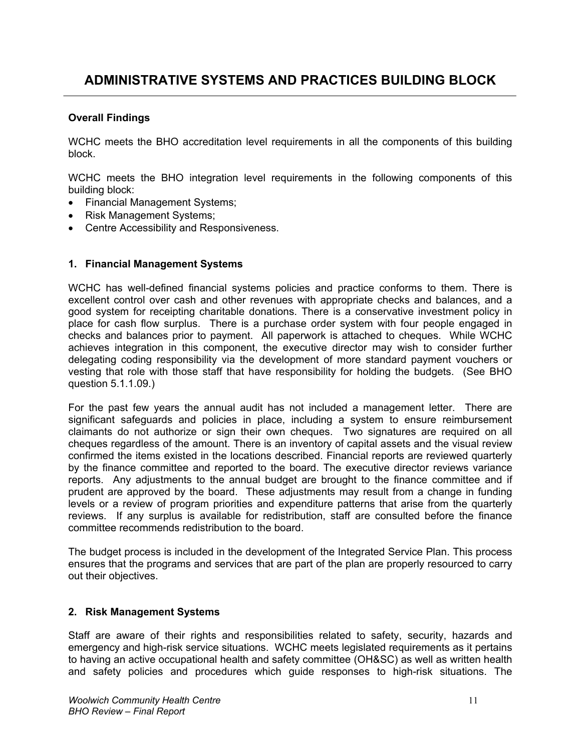WCHC meets the BHO accreditation level requirements in all the components of this building block.

WCHC meets the BHO integration level requirements in the following components of this building block:

- Financial Management Systems;
- Risk Management Systems;
- Centre Accessibility and Responsiveness.

#### **1. Financial Management Systems**

WCHC has well-defined financial systems policies and practice conforms to them. There is excellent control over cash and other revenues with appropriate checks and balances, and a good system for receipting charitable donations. There is a conservative investment policy in place for cash flow surplus. There is a purchase order system with four people engaged in checks and balances prior to payment. All paperwork is attached to cheques. While WCHC achieves integration in this component, the executive director may wish to consider further delegating coding responsibility via the development of more standard payment vouchers or vesting that role with those staff that have responsibility for holding the budgets. (See BHO question 5.1.1.09.)

For the past few years the annual audit has not included a management letter. There are significant safeguards and policies in place, including a system to ensure reimbursement claimants do not authorize or sign their own cheques. Two signatures are required on all cheques regardless of the amount. There is an inventory of capital assets and the visual review confirmed the items existed in the locations described. Financial reports are reviewed quarterly by the finance committee and reported to the board. The executive director reviews variance reports. Any adjustments to the annual budget are brought to the finance committee and if prudent are approved by the board. These adjustments may result from a change in funding levels or a review of program priorities and expenditure patterns that arise from the quarterly reviews. If any surplus is available for redistribution, staff are consulted before the finance committee recommends redistribution to the board.

The budget process is included in the development of the Integrated Service Plan. This process ensures that the programs and services that are part of the plan are properly resourced to carry out their objectives.

#### **2. Risk Management Systems**

Staff are aware of their rights and responsibilities related to safety, security, hazards and emergency and high-risk service situations. WCHC meets legislated requirements as it pertains to having an active occupational health and safety committee (OH&SC) as well as written health and safety policies and procedures which guide responses to high-risk situations. The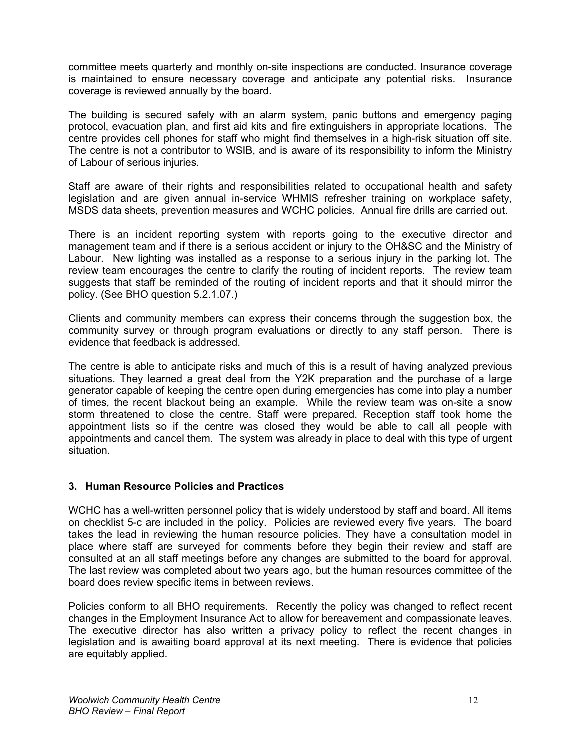committee meets quarterly and monthly on-site inspections are conducted. Insurance coverage is maintained to ensure necessary coverage and anticipate any potential risks. Insurance coverage is reviewed annually by the board.

The building is secured safely with an alarm system, panic buttons and emergency paging protocol, evacuation plan, and first aid kits and fire extinguishers in appropriate locations. The centre provides cell phones for staff who might find themselves in a high-risk situation off site. The centre is not a contributor to WSIB, and is aware of its responsibility to inform the Ministry of Labour of serious injuries.

Staff are aware of their rights and responsibilities related to occupational health and safety legislation and are given annual in-service WHMIS refresher training on workplace safety, MSDS data sheets, prevention measures and WCHC policies. Annual fire drills are carried out.

There is an incident reporting system with reports going to the executive director and management team and if there is a serious accident or injury to the OH&SC and the Ministry of Labour. New lighting was installed as a response to a serious injury in the parking lot. The review team encourages the centre to clarify the routing of incident reports. The review team suggests that staff be reminded of the routing of incident reports and that it should mirror the policy. (See BHO question 5.2.1.07.)

Clients and community members can express their concerns through the suggestion box, the community survey or through program evaluations or directly to any staff person. There is evidence that feedback is addressed.

The centre is able to anticipate risks and much of this is a result of having analyzed previous situations. They learned a great deal from the Y2K preparation and the purchase of a large generator capable of keeping the centre open during emergencies has come into play a number of times, the recent blackout being an example. While the review team was on-site a snow storm threatened to close the centre. Staff were prepared. Reception staff took home the appointment lists so if the centre was closed they would be able to call all people with appointments and cancel them. The system was already in place to deal with this type of urgent situation.

#### **3. Human Resource Policies and Practices**

WCHC has a well-written personnel policy that is widely understood by staff and board. All items on checklist 5-c are included in the policy. Policies are reviewed every five years. The board takes the lead in reviewing the human resource policies. They have a consultation model in place where staff are surveyed for comments before they begin their review and staff are consulted at an all staff meetings before any changes are submitted to the board for approval. The last review was completed about two years ago, but the human resources committee of the board does review specific items in between reviews.

Policies conform to all BHO requirements. Recently the policy was changed to reflect recent changes in the Employment Insurance Act to allow for bereavement and compassionate leaves. The executive director has also written a privacy policy to reflect the recent changes in legislation and is awaiting board approval at its next meeting. There is evidence that policies are equitably applied.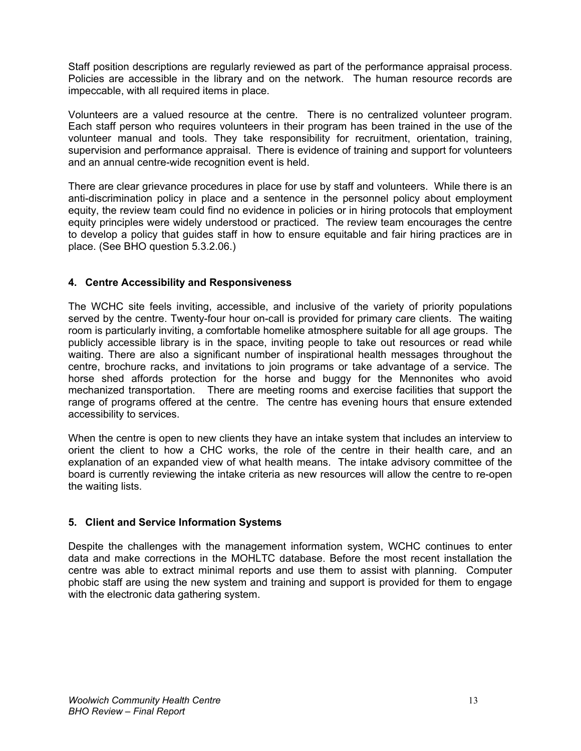Staff position descriptions are regularly reviewed as part of the performance appraisal process. Policies are accessible in the library and on the network. The human resource records are impeccable, with all required items in place.

Volunteers are a valued resource at the centre. There is no centralized volunteer program. Each staff person who requires volunteers in their program has been trained in the use of the volunteer manual and tools. They take responsibility for recruitment, orientation, training, supervision and performance appraisal. There is evidence of training and support for volunteers and an annual centre-wide recognition event is held.

There are clear grievance procedures in place for use by staff and volunteers. While there is an anti-discrimination policy in place and a sentence in the personnel policy about employment equity, the review team could find no evidence in policies or in hiring protocols that employment equity principles were widely understood or practiced. The review team encourages the centre to develop a policy that guides staff in how to ensure equitable and fair hiring practices are in place. (See BHO question 5.3.2.06.)

#### **4. Centre Accessibility and Responsiveness**

The WCHC site feels inviting, accessible, and inclusive of the variety of priority populations served by the centre. Twenty-four hour on-call is provided for primary care clients. The waiting room is particularly inviting, a comfortable homelike atmosphere suitable for all age groups. The publicly accessible library is in the space, inviting people to take out resources or read while waiting. There are also a significant number of inspirational health messages throughout the centre, brochure racks, and invitations to join programs or take advantage of a service. The horse shed affords protection for the horse and buggy for the Mennonites who avoid mechanized transportation. There are meeting rooms and exercise facilities that support the range of programs offered at the centre. The centre has evening hours that ensure extended accessibility to services.

When the centre is open to new clients they have an intake system that includes an interview to orient the client to how a CHC works, the role of the centre in their health care, and an explanation of an expanded view of what health means. The intake advisory committee of the board is currently reviewing the intake criteria as new resources will allow the centre to re-open the waiting lists.

#### **5. Client and Service Information Systems**

Despite the challenges with the management information system, WCHC continues to enter data and make corrections in the MOHLTC database. Before the most recent installation the centre was able to extract minimal reports and use them to assist with planning. Computer phobic staff are using the new system and training and support is provided for them to engage with the electronic data gathering system.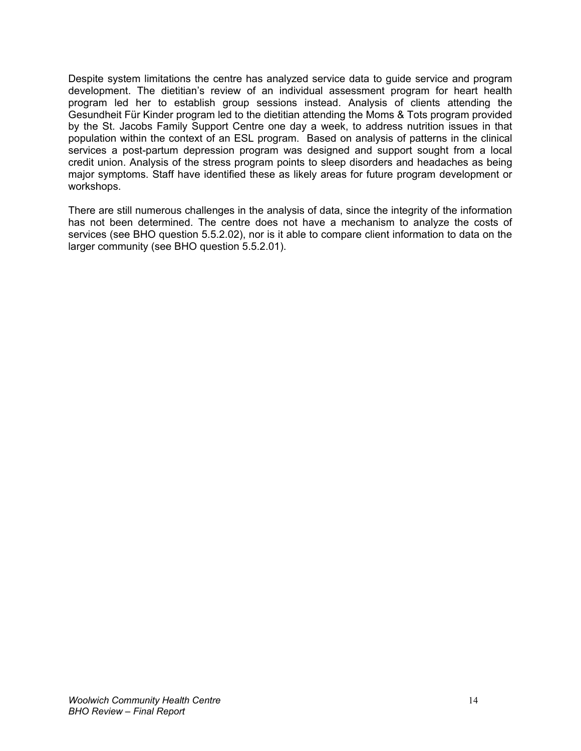Despite system limitations the centre has analyzed service data to guide service and program development. The dietitian's review of an individual assessment program for heart health program led her to establish group sessions instead. Analysis of clients attending the Gesundheit Für Kinder program led to the dietitian attending the Moms & Tots program provided by the St. Jacobs Family Support Centre one day a week, to address nutrition issues in that population within the context of an ESL program. Based on analysis of patterns in the clinical services a post-partum depression program was designed and support sought from a local credit union. Analysis of the stress program points to sleep disorders and headaches as being major symptoms. Staff have identified these as likely areas for future program development or workshops.

There are still numerous challenges in the analysis of data, since the integrity of the information has not been determined. The centre does not have a mechanism to analyze the costs of services (see BHO question 5.5.2.02), nor is it able to compare client information to data on the larger community (see BHO question 5.5.2.01).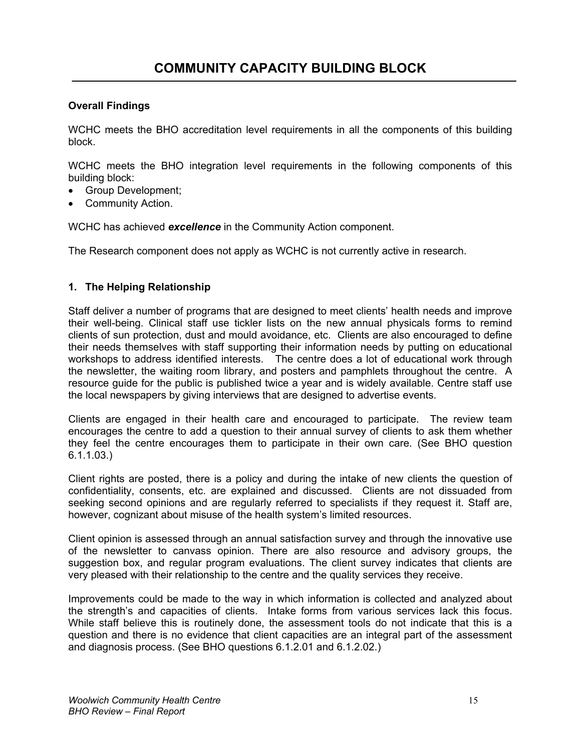WCHC meets the BHO accreditation level requirements in all the components of this building block.

WCHC meets the BHO integration level requirements in the following components of this building block:

- Group Development;
- Community Action.

WCHC has achieved *excellence* in the Community Action component.

The Research component does not apply as WCHC is not currently active in research.

#### **1. The Helping Relationship**

Staff deliver a number of programs that are designed to meet clients' health needs and improve their well-being. Clinical staff use tickler lists on the new annual physicals forms to remind clients of sun protection, dust and mould avoidance, etc. Clients are also encouraged to define their needs themselves with staff supporting their information needs by putting on educational workshops to address identified interests. The centre does a lot of educational work through the newsletter, the waiting room library, and posters and pamphlets throughout the centre. A resource guide for the public is published twice a year and is widely available. Centre staff use the local newspapers by giving interviews that are designed to advertise events.

Clients are engaged in their health care and encouraged to participate. The review team encourages the centre to add a question to their annual survey of clients to ask them whether they feel the centre encourages them to participate in their own care. (See BHO question 6.1.1.03.)

Client rights are posted, there is a policy and during the intake of new clients the question of confidentiality, consents, etc. are explained and discussed. Clients are not dissuaded from seeking second opinions and are regularly referred to specialists if they request it. Staff are, however, cognizant about misuse of the health system's limited resources.

Client opinion is assessed through an annual satisfaction survey and through the innovative use of the newsletter to canvass opinion. There are also resource and advisory groups, the suggestion box, and regular program evaluations. The client survey indicates that clients are very pleased with their relationship to the centre and the quality services they receive.

Improvements could be made to the way in which information is collected and analyzed about the strength's and capacities of clients. Intake forms from various services lack this focus. While staff believe this is routinely done, the assessment tools do not indicate that this is a question and there is no evidence that client capacities are an integral part of the assessment and diagnosis process. (See BHO questions 6.1.2.01 and 6.1.2.02.)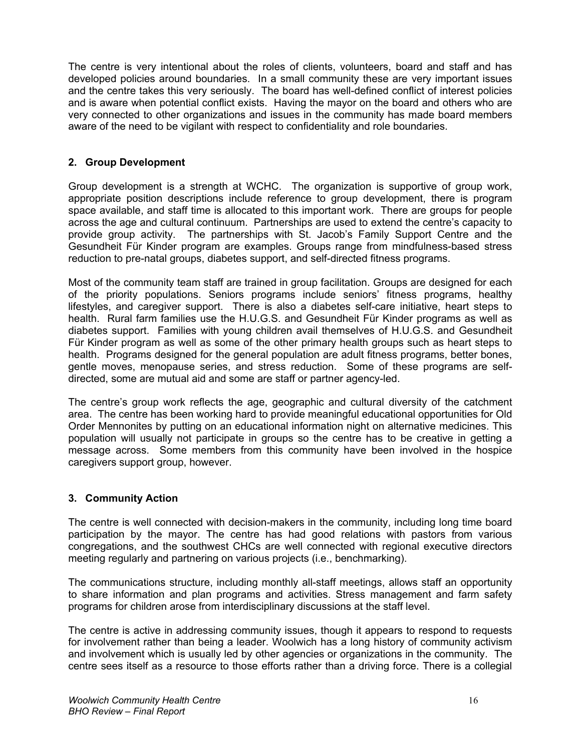The centre is very intentional about the roles of clients, volunteers, board and staff and has developed policies around boundaries. In a small community these are very important issues and the centre takes this very seriously. The board has well-defined conflict of interest policies and is aware when potential conflict exists. Having the mayor on the board and others who are very connected to other organizations and issues in the community has made board members aware of the need to be vigilant with respect to confidentiality and role boundaries.

#### **2. Group Development**

Group development is a strength at WCHC. The organization is supportive of group work, appropriate position descriptions include reference to group development, there is program space available, and staff time is allocated to this important work. There are groups for people across the age and cultural continuum. Partnerships are used to extend the centre's capacity to provide group activity. The partnerships with St. Jacob's Family Support Centre and the Gesundheit Für Kinder program are examples. Groups range from mindfulness-based stress reduction to pre-natal groups, diabetes support, and self-directed fitness programs.

Most of the community team staff are trained in group facilitation. Groups are designed for each of the priority populations. Seniors programs include seniors' fitness programs, healthy lifestyles, and caregiver support. There is also a diabetes self-care initiative, heart steps to health. Rural farm families use the H.U.G.S. and Gesundheit Für Kinder programs as well as diabetes support. Families with young children avail themselves of H.U.G.S. and Gesundheit Für Kinder program as well as some of the other primary health groups such as heart steps to health. Programs designed for the general population are adult fitness programs, better bones, gentle moves, menopause series, and stress reduction. Some of these programs are selfdirected, some are mutual aid and some are staff or partner agency-led.

The centre's group work reflects the age, geographic and cultural diversity of the catchment area. The centre has been working hard to provide meaningful educational opportunities for Old Order Mennonites by putting on an educational information night on alternative medicines. This population will usually not participate in groups so the centre has to be creative in getting a message across. Some members from this community have been involved in the hospice caregivers support group, however.

#### **3. Community Action**

The centre is well connected with decision-makers in the community, including long time board participation by the mayor. The centre has had good relations with pastors from various congregations, and the southwest CHCs are well connected with regional executive directors meeting regularly and partnering on various projects (i.e., benchmarking).

The communications structure, including monthly all-staff meetings, allows staff an opportunity to share information and plan programs and activities. Stress management and farm safety programs for children arose from interdisciplinary discussions at the staff level.

The centre is active in addressing community issues, though it appears to respond to requests for involvement rather than being a leader. Woolwich has a long history of community activism and involvement which is usually led by other agencies or organizations in the community. The centre sees itself as a resource to those efforts rather than a driving force. There is a collegial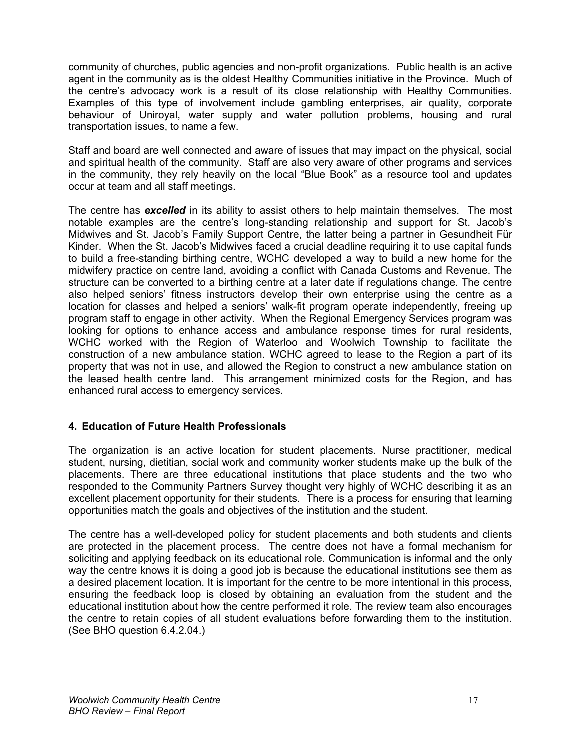community of churches, public agencies and non-profit organizations. Public health is an active agent in the community as is the oldest Healthy Communities initiative in the Province. Much of the centre's advocacy work is a result of its close relationship with Healthy Communities. Examples of this type of involvement include gambling enterprises, air quality, corporate behaviour of Uniroyal, water supply and water pollution problems, housing and rural transportation issues, to name a few.

Staff and board are well connected and aware of issues that may impact on the physical, social and spiritual health of the community. Staff are also very aware of other programs and services in the community, they rely heavily on the local "Blue Book" as a resource tool and updates occur at team and all staff meetings.

The centre has *excelled* in its ability to assist others to help maintain themselves. The most notable examples are the centre's long-standing relationship and support for St. Jacob's Midwives and St. Jacob's Family Support Centre, the latter being a partner in Gesundheit Für Kinder. When the St. Jacob's Midwives faced a crucial deadline requiring it to use capital funds to build a free-standing birthing centre, WCHC developed a way to build a new home for the midwifery practice on centre land, avoiding a conflict with Canada Customs and Revenue. The structure can be converted to a birthing centre at a later date if regulations change. The centre also helped seniors' fitness instructors develop their own enterprise using the centre as a location for classes and helped a seniors' walk-fit program operate independently, freeing up program staff to engage in other activity. When the Regional Emergency Services program was looking for options to enhance access and ambulance response times for rural residents, WCHC worked with the Region of Waterloo and Woolwich Township to facilitate the construction of a new ambulance station. WCHC agreed to lease to the Region a part of its property that was not in use, and allowed the Region to construct a new ambulance station on the leased health centre land. This arrangement minimized costs for the Region, and has enhanced rural access to emergency services.

#### **4. Education of Future Health Professionals**

The organization is an active location for student placements. Nurse practitioner, medical student, nursing, dietitian, social work and community worker students make up the bulk of the placements. There are three educational institutions that place students and the two who responded to the Community Partners Survey thought very highly of WCHC describing it as an excellent placement opportunity for their students. There is a process for ensuring that learning opportunities match the goals and objectives of the institution and the student.

The centre has a well-developed policy for student placements and both students and clients are protected in the placement process. The centre does not have a formal mechanism for soliciting and applying feedback on its educational role. Communication is informal and the only way the centre knows it is doing a good job is because the educational institutions see them as a desired placement location. It is important for the centre to be more intentional in this process, ensuring the feedback loop is closed by obtaining an evaluation from the student and the educational institution about how the centre performed it role. The review team also encourages the centre to retain copies of all student evaluations before forwarding them to the institution. (See BHO question 6.4.2.04.)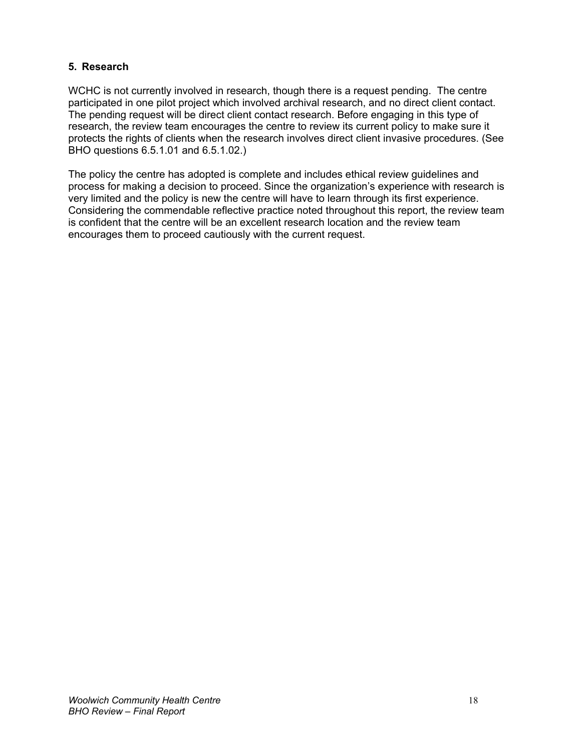#### **5. Research**

WCHC is not currently involved in research, though there is a request pending. The centre participated in one pilot project which involved archival research, and no direct client contact. The pending request will be direct client contact research. Before engaging in this type of research, the review team encourages the centre to review its current policy to make sure it protects the rights of clients when the research involves direct client invasive procedures. (See BHO questions 6.5.1.01 and 6.5.1.02.)

The policy the centre has adopted is complete and includes ethical review guidelines and process for making a decision to proceed. Since the organization's experience with research is very limited and the policy is new the centre will have to learn through its first experience. Considering the commendable reflective practice noted throughout this report, the review team is confident that the centre will be an excellent research location and the review team encourages them to proceed cautiously with the current request.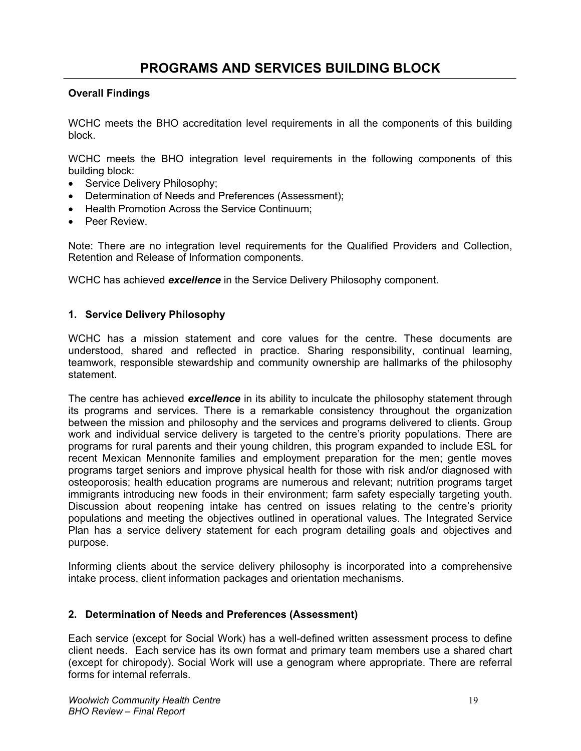WCHC meets the BHO accreditation level requirements in all the components of this building block.

WCHC meets the BHO integration level requirements in the following components of this building block:

- Service Delivery Philosophy;
- Determination of Needs and Preferences (Assessment);
- Health Promotion Across the Service Continuum;
- Peer Review.

Note: There are no integration level requirements for the Qualified Providers and Collection, Retention and Release of Information components.

WCHC has achieved *excellence* in the Service Delivery Philosophy component.

#### **1. Service Delivery Philosophy**

WCHC has a mission statement and core values for the centre. These documents are understood, shared and reflected in practice. Sharing responsibility, continual learning, teamwork, responsible stewardship and community ownership are hallmarks of the philosophy statement.

The centre has achieved *excellence* in its ability to inculcate the philosophy statement through its programs and services. There is a remarkable consistency throughout the organization between the mission and philosophy and the services and programs delivered to clients. Group work and individual service delivery is targeted to the centre's priority populations. There are programs for rural parents and their young children, this program expanded to include ESL for recent Mexican Mennonite families and employment preparation for the men; gentle moves programs target seniors and improve physical health for those with risk and/or diagnosed with osteoporosis; health education programs are numerous and relevant; nutrition programs target immigrants introducing new foods in their environment; farm safety especially targeting youth. Discussion about reopening intake has centred on issues relating to the centre's priority populations and meeting the objectives outlined in operational values. The Integrated Service Plan has a service delivery statement for each program detailing goals and objectives and purpose.

Informing clients about the service delivery philosophy is incorporated into a comprehensive intake process, client information packages and orientation mechanisms.

#### **2. Determination of Needs and Preferences (Assessment)**

Each service (except for Social Work) has a well-defined written assessment process to define client needs. Each service has its own format and primary team members use a shared chart (except for chiropody). Social Work will use a genogram where appropriate. There are referral forms for internal referrals.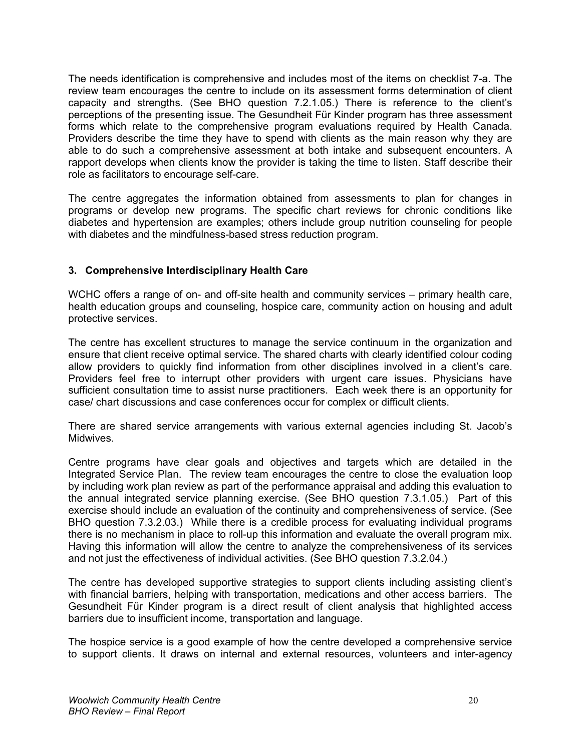The needs identification is comprehensive and includes most of the items on checklist 7-a. The review team encourages the centre to include on its assessment forms determination of client capacity and strengths. (See BHO question 7.2.1.05.) There is reference to the client's perceptions of the presenting issue. The Gesundheit Für Kinder program has three assessment forms which relate to the comprehensive program evaluations required by Health Canada. Providers describe the time they have to spend with clients as the main reason why they are able to do such a comprehensive assessment at both intake and subsequent encounters. A rapport develops when clients know the provider is taking the time to listen. Staff describe their role as facilitators to encourage self-care.

The centre aggregates the information obtained from assessments to plan for changes in programs or develop new programs. The specific chart reviews for chronic conditions like diabetes and hypertension are examples; others include group nutrition counseling for people with diabetes and the mindfulness-based stress reduction program.

#### **3. Comprehensive Interdisciplinary Health Care**

WCHC offers a range of on- and off-site health and community services – primary health care, health education groups and counseling, hospice care, community action on housing and adult protective services.

The centre has excellent structures to manage the service continuum in the organization and ensure that client receive optimal service. The shared charts with clearly identified colour coding allow providers to quickly find information from other disciplines involved in a client's care. Providers feel free to interrupt other providers with urgent care issues. Physicians have sufficient consultation time to assist nurse practitioners. Each week there is an opportunity for case/ chart discussions and case conferences occur for complex or difficult clients.

There are shared service arrangements with various external agencies including St. Jacob's Midwives.

Centre programs have clear goals and objectives and targets which are detailed in the Integrated Service Plan. The review team encourages the centre to close the evaluation loop by including work plan review as part of the performance appraisal and adding this evaluation to the annual integrated service planning exercise. (See BHO question 7.3.1.05.) Part of this exercise should include an evaluation of the continuity and comprehensiveness of service. (See BHO question 7.3.2.03.) While there is a credible process for evaluating individual programs there is no mechanism in place to roll-up this information and evaluate the overall program mix. Having this information will allow the centre to analyze the comprehensiveness of its services and not just the effectiveness of individual activities. (See BHO question 7.3.2.04.)

The centre has developed supportive strategies to support clients including assisting client's with financial barriers, helping with transportation, medications and other access barriers. The Gesundheit Für Kinder program is a direct result of client analysis that highlighted access barriers due to insufficient income, transportation and language.

The hospice service is a good example of how the centre developed a comprehensive service to support clients. It draws on internal and external resources, volunteers and inter-agency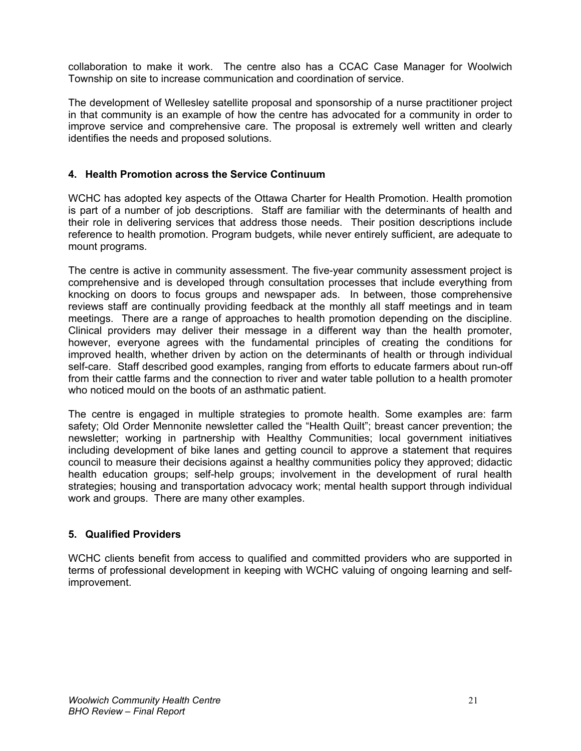collaboration to make it work. The centre also has a CCAC Case Manager for Woolwich Township on site to increase communication and coordination of service.

The development of Wellesley satellite proposal and sponsorship of a nurse practitioner project in that community is an example of how the centre has advocated for a community in order to improve service and comprehensive care. The proposal is extremely well written and clearly identifies the needs and proposed solutions.

#### **4. Health Promotion across the Service Continuum**

WCHC has adopted key aspects of the Ottawa Charter for Health Promotion. Health promotion is part of a number of job descriptions. Staff are familiar with the determinants of health and their role in delivering services that address those needs. Their position descriptions include reference to health promotion. Program budgets, while never entirely sufficient, are adequate to mount programs.

The centre is active in community assessment. The five-year community assessment project is comprehensive and is developed through consultation processes that include everything from knocking on doors to focus groups and newspaper ads. In between, those comprehensive reviews staff are continually providing feedback at the monthly all staff meetings and in team meetings. There are a range of approaches to health promotion depending on the discipline. Clinical providers may deliver their message in a different way than the health promoter, however, everyone agrees with the fundamental principles of creating the conditions for improved health, whether driven by action on the determinants of health or through individual self-care. Staff described good examples, ranging from efforts to educate farmers about run-off from their cattle farms and the connection to river and water table pollution to a health promoter who noticed mould on the boots of an asthmatic patient.

The centre is engaged in multiple strategies to promote health. Some examples are: farm safety; Old Order Mennonite newsletter called the "Health Quilt"; breast cancer prevention; the newsletter; working in partnership with Healthy Communities; local government initiatives including development of bike lanes and getting council to approve a statement that requires council to measure their decisions against a healthy communities policy they approved; didactic health education groups; self-help groups; involvement in the development of rural health strategies; housing and transportation advocacy work; mental health support through individual work and groups. There are many other examples.

#### **5. Qualified Providers**

WCHC clients benefit from access to qualified and committed providers who are supported in terms of professional development in keeping with WCHC valuing of ongoing learning and selfimprovement.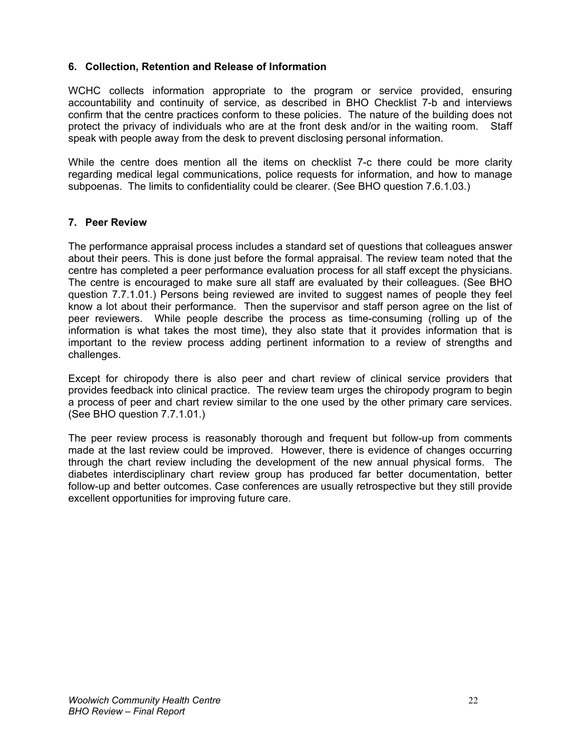#### **6. Collection, Retention and Release of Information**

WCHC collects information appropriate to the program or service provided, ensuring accountability and continuity of service, as described in BHO Checklist 7-b and interviews confirm that the centre practices conform to these policies. The nature of the building does not protect the privacy of individuals who are at the front desk and/or in the waiting room. Staff speak with people away from the desk to prevent disclosing personal information.

While the centre does mention all the items on checklist 7-c there could be more clarity regarding medical legal communications, police requests for information, and how to manage subpoenas. The limits to confidentiality could be clearer. (See BHO question 7.6.1.03.)

#### **7. Peer Review**

The performance appraisal process includes a standard set of questions that colleagues answer about their peers. This is done just before the formal appraisal. The review team noted that the centre has completed a peer performance evaluation process for all staff except the physicians. The centre is encouraged to make sure all staff are evaluated by their colleagues. (See BHO question 7.7.1.01.) Persons being reviewed are invited to suggest names of people they feel know a lot about their performance. Then the supervisor and staff person agree on the list of peer reviewers. While people describe the process as time-consuming (rolling up of the information is what takes the most time), they also state that it provides information that is important to the review process adding pertinent information to a review of strengths and challenges.

Except for chiropody there is also peer and chart review of clinical service providers that provides feedback into clinical practice. The review team urges the chiropody program to begin a process of peer and chart review similar to the one used by the other primary care services. (See BHO question 7.7.1.01.)

The peer review process is reasonably thorough and frequent but follow-up from comments made at the last review could be improved. However, there is evidence of changes occurring through the chart review including the development of the new annual physical forms. The diabetes interdisciplinary chart review group has produced far better documentation, better follow-up and better outcomes. Case conferences are usually retrospective but they still provide excellent opportunities for improving future care.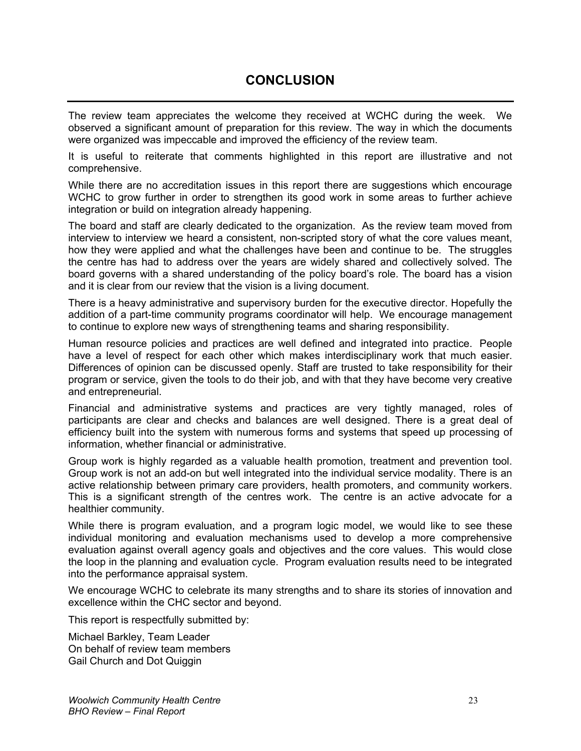### **CONCLUSION**

The review team appreciates the welcome they received at WCHC during the week. We observed a significant amount of preparation for this review. The way in which the documents were organized was impeccable and improved the efficiency of the review team.

It is useful to reiterate that comments highlighted in this report are illustrative and not comprehensive.

While there are no accreditation issues in this report there are suggestions which encourage WCHC to grow further in order to strengthen its good work in some areas to further achieve integration or build on integration already happening.

The board and staff are clearly dedicated to the organization. As the review team moved from interview to interview we heard a consistent, non-scripted story of what the core values meant, how they were applied and what the challenges have been and continue to be. The struggles the centre has had to address over the years are widely shared and collectively solved. The board governs with a shared understanding of the policy board's role. The board has a vision and it is clear from our review that the vision is a living document.

There is a heavy administrative and supervisory burden for the executive director. Hopefully the addition of a part-time community programs coordinator will help. We encourage management to continue to explore new ways of strengthening teams and sharing responsibility.

Human resource policies and practices are well defined and integrated into practice. People have a level of respect for each other which makes interdisciplinary work that much easier. Differences of opinion can be discussed openly. Staff are trusted to take responsibility for their program or service, given the tools to do their job, and with that they have become very creative and entrepreneurial.

Financial and administrative systems and practices are very tightly managed, roles of participants are clear and checks and balances are well designed. There is a great deal of efficiency built into the system with numerous forms and systems that speed up processing of information, whether financial or administrative.

Group work is highly regarded as a valuable health promotion, treatment and prevention tool. Group work is not an add-on but well integrated into the individual service modality. There is an active relationship between primary care providers, health promoters, and community workers. This is a significant strength of the centres work. The centre is an active advocate for a healthier community.

While there is program evaluation, and a program logic model, we would like to see these individual monitoring and evaluation mechanisms used to develop a more comprehensive evaluation against overall agency goals and objectives and the core values. This would close the loop in the planning and evaluation cycle. Program evaluation results need to be integrated into the performance appraisal system.

We encourage WCHC to celebrate its many strengths and to share its stories of innovation and excellence within the CHC sector and beyond.

This report is respectfully submitted by:

Michael Barkley, Team Leader On behalf of review team members Gail Church and Dot Quiggin